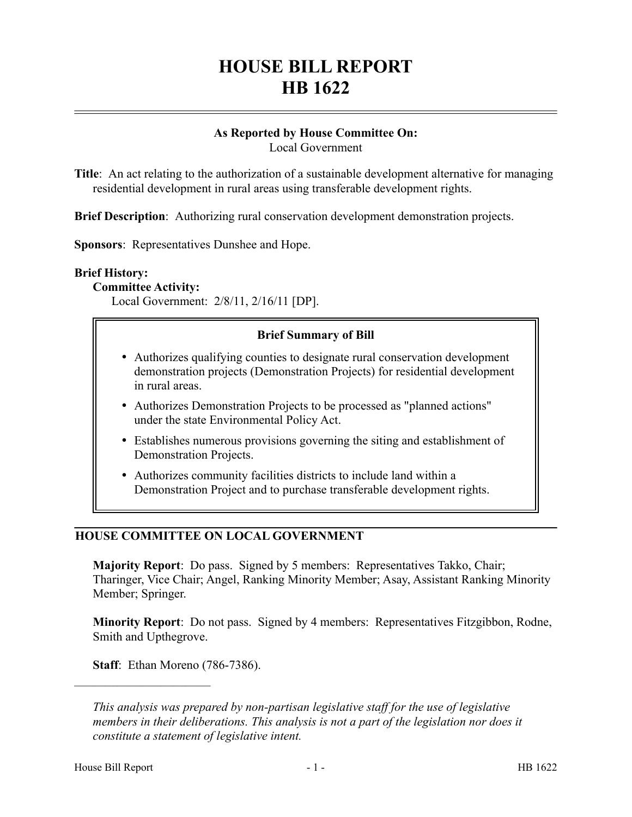# **HOUSE BILL REPORT HB 1622**

## **As Reported by House Committee On:**

Local Government

**Title**: An act relating to the authorization of a sustainable development alternative for managing residential development in rural areas using transferable development rights.

**Brief Description**: Authorizing rural conservation development demonstration projects.

**Sponsors**: Representatives Dunshee and Hope.

#### **Brief History:**

**Committee Activity:**

Local Government: 2/8/11, 2/16/11 [DP].

#### **Brief Summary of Bill**

- Authorizes qualifying counties to designate rural conservation development demonstration projects (Demonstration Projects) for residential development in rural areas.
- Authorizes Demonstration Projects to be processed as "planned actions" under the state Environmental Policy Act.
- Establishes numerous provisions governing the siting and establishment of Demonstration Projects.
- Authorizes community facilities districts to include land within a Demonstration Project and to purchase transferable development rights.

### **HOUSE COMMITTEE ON LOCAL GOVERNMENT**

**Majority Report**: Do pass. Signed by 5 members: Representatives Takko, Chair; Tharinger, Vice Chair; Angel, Ranking Minority Member; Asay, Assistant Ranking Minority Member; Springer.

**Minority Report**: Do not pass. Signed by 4 members: Representatives Fitzgibbon, Rodne, Smith and Upthegrove.

**Staff**: Ethan Moreno (786-7386).

––––––––––––––––––––––

*This analysis was prepared by non-partisan legislative staff for the use of legislative members in their deliberations. This analysis is not a part of the legislation nor does it constitute a statement of legislative intent.*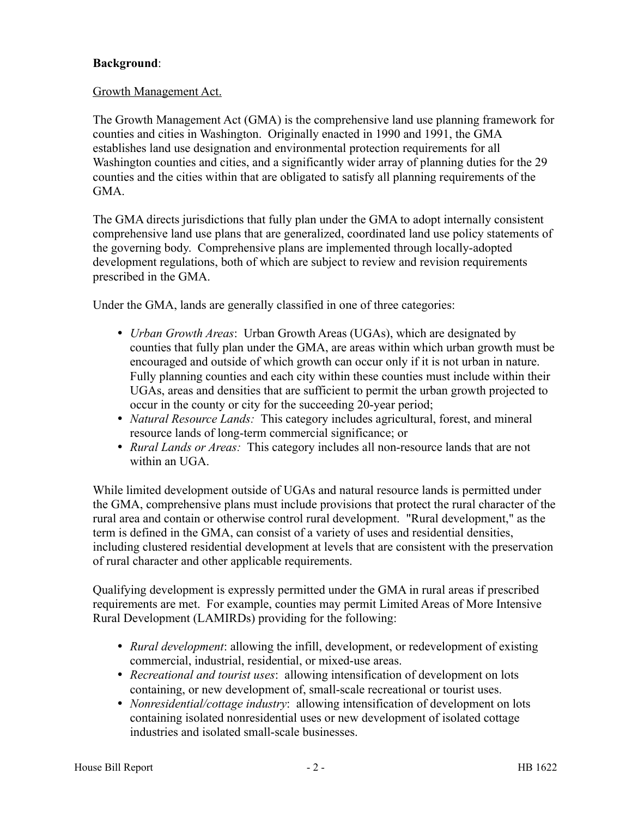#### **Background**:

#### Growth Management Act.

The Growth Management Act (GMA) is the comprehensive land use planning framework for counties and cities in Washington. Originally enacted in 1990 and 1991, the GMA establishes land use designation and environmental protection requirements for all Washington counties and cities, and a significantly wider array of planning duties for the 29 counties and the cities within that are obligated to satisfy all planning requirements of the GMA.

The GMA directs jurisdictions that fully plan under the GMA to adopt internally consistent comprehensive land use plans that are generalized, coordinated land use policy statements of the governing body. Comprehensive plans are implemented through locally-adopted development regulations, both of which are subject to review and revision requirements prescribed in the GMA.

Under the GMA, lands are generally classified in one of three categories:

- *Urban Growth Areas*: Urban Growth Areas (UGAs), which are designated by counties that fully plan under the GMA, are areas within which urban growth must be encouraged and outside of which growth can occur only if it is not urban in nature. Fully planning counties and each city within these counties must include within their UGAs, areas and densities that are sufficient to permit the urban growth projected to occur in the county or city for the succeeding 20-year period;
- *Natural Resource Lands:* This category includes agricultural, forest, and mineral resource lands of long-term commercial significance; or
- *Rural Lands or Areas:* This category includes all non-resource lands that are not within an UGA

While limited development outside of UGAs and natural resource lands is permitted under the GMA, comprehensive plans must include provisions that protect the rural character of the rural area and contain or otherwise control rural development. "Rural development," as the term is defined in the GMA, can consist of a variety of uses and residential densities, including clustered residential development at levels that are consistent with the preservation of rural character and other applicable requirements.

Qualifying development is expressly permitted under the GMA in rural areas if prescribed requirements are met. For example, counties may permit Limited Areas of More Intensive Rural Development (LAMIRDs) providing for the following:

- *Rural development*: allowing the infill, development, or redevelopment of existing commercial, industrial, residential, or mixed-use areas.
- *Recreational and tourist uses*: allowing intensification of development on lots containing, or new development of, small-scale recreational or tourist uses.
- *Nonresidential/cottage industry*: allowing intensification of development on lots containing isolated nonresidential uses or new development of isolated cottage industries and isolated small-scale businesses.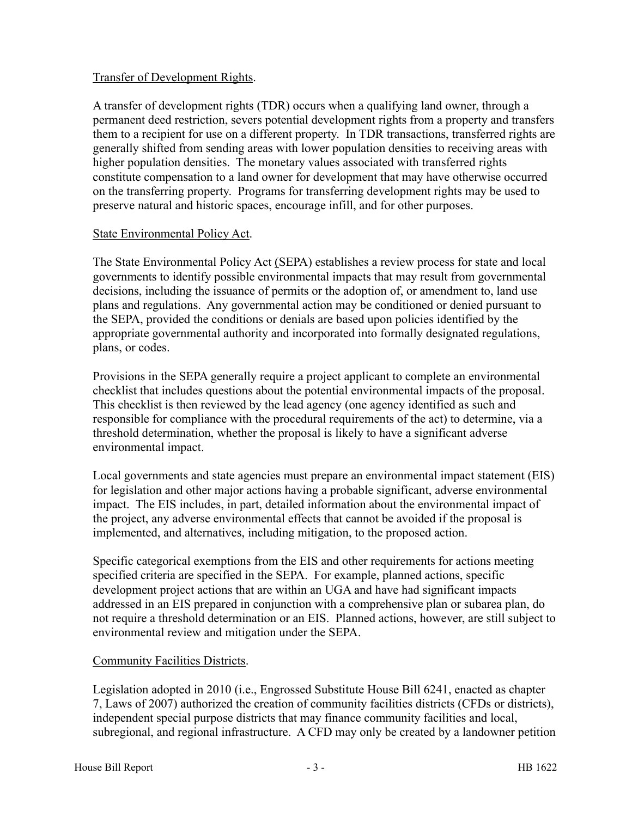#### Transfer of Development Rights.

A transfer of development rights (TDR) occurs when a qualifying land owner, through a permanent deed restriction, severs potential development rights from a property and transfers them to a recipient for use on a different property. In TDR transactions, transferred rights are generally shifted from sending areas with lower population densities to receiving areas with higher population densities. The monetary values associated with transferred rights constitute compensation to a land owner for development that may have otherwise occurred on the transferring property. Programs for transferring development rights may be used to preserve natural and historic spaces, encourage infill, and for other purposes.

#### State Environmental Policy Act.

The State Environmental Policy Act (SEPA) establishes a review process for state and local governments to identify possible environmental impacts that may result from governmental decisions, including the issuance of permits or the adoption of, or amendment to, land use plans and regulations. Any governmental action may be conditioned or denied pursuant to the SEPA, provided the conditions or denials are based upon policies identified by the appropriate governmental authority and incorporated into formally designated regulations, plans, or codes.

Provisions in the SEPA generally require a project applicant to complete an environmental checklist that includes questions about the potential environmental impacts of the proposal. This checklist is then reviewed by the lead agency (one agency identified as such and responsible for compliance with the procedural requirements of the act) to determine, via a threshold determination, whether the proposal is likely to have a significant adverse environmental impact.

Local governments and state agencies must prepare an environmental impact statement (EIS) for legislation and other major actions having a probable significant, adverse environmental impact. The EIS includes, in part, detailed information about the environmental impact of the project, any adverse environmental effects that cannot be avoided if the proposal is implemented, and alternatives, including mitigation, to the proposed action.

Specific categorical exemptions from the EIS and other requirements for actions meeting specified criteria are specified in the SEPA. For example, planned actions, specific development project actions that are within an UGA and have had significant impacts addressed in an EIS prepared in conjunction with a comprehensive plan or subarea plan, do not require a threshold determination or an EIS. Planned actions, however, are still subject to environmental review and mitigation under the SEPA.

#### Community Facilities Districts.

Legislation adopted in 2010 (i.e., Engrossed Substitute House Bill 6241, enacted as chapter 7, Laws of 2007) authorized the creation of community facilities districts (CFDs or districts), independent special purpose districts that may finance community facilities and local, subregional, and regional infrastructure. A CFD may only be created by a landowner petition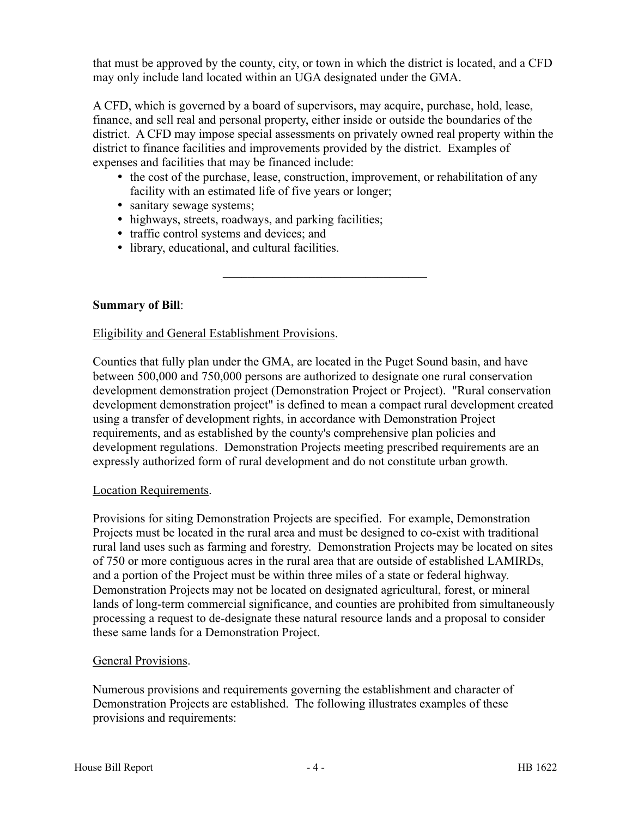that must be approved by the county, city, or town in which the district is located, and a CFD may only include land located within an UGA designated under the GMA.

A CFD, which is governed by a board of supervisors, may acquire, purchase, hold, lease, finance, and sell real and personal property, either inside or outside the boundaries of the district. A CFD may impose special assessments on privately owned real property within the district to finance facilities and improvements provided by the district. Examples of expenses and facilities that may be financed include:

• the cost of the purchase, lease, construction, improvement, or rehabilitation of any facility with an estimated life of five years or longer;

–––––––––––––––––––––––––––––––––

- sanitary sewage systems;
- highways, streets, roadways, and parking facilities;
- traffic control systems and devices; and
- library, educational, and cultural facilities.

**Summary of Bill**:

#### Eligibility and General Establishment Provisions.

Counties that fully plan under the GMA, are located in the Puget Sound basin, and have between 500,000 and 750,000 persons are authorized to designate one rural conservation development demonstration project (Demonstration Project or Project). "Rural conservation development demonstration project" is defined to mean a compact rural development created using a transfer of development rights, in accordance with Demonstration Project requirements, and as established by the county's comprehensive plan policies and development regulations. Demonstration Projects meeting prescribed requirements are an expressly authorized form of rural development and do not constitute urban growth.

#### Location Requirements.

Provisions for siting Demonstration Projects are specified. For example, Demonstration Projects must be located in the rural area and must be designed to co-exist with traditional rural land uses such as farming and forestry. Demonstration Projects may be located on sites of 750 or more contiguous acres in the rural area that are outside of established LAMIRDs, and a portion of the Project must be within three miles of a state or federal highway. Demonstration Projects may not be located on designated agricultural, forest, or mineral lands of long-term commercial significance, and counties are prohibited from simultaneously processing a request to de-designate these natural resource lands and a proposal to consider these same lands for a Demonstration Project.

#### General Provisions.

Numerous provisions and requirements governing the establishment and character of Demonstration Projects are established. The following illustrates examples of these provisions and requirements: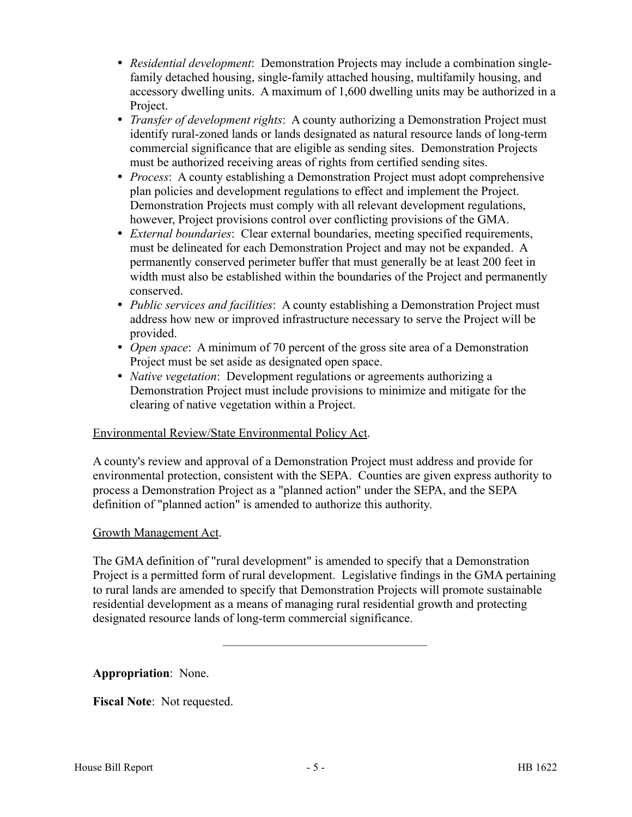- *Residential development*: Demonstration Projects may include a combination singlefamily detached housing, single-family attached housing, multifamily housing, and accessory dwelling units. A maximum of 1,600 dwelling units may be authorized in a Project.
- *Transfer of development rights*: A county authorizing a Demonstration Project must identify rural-zoned lands or lands designated as natural resource lands of long-term commercial significance that are eligible as sending sites. Demonstration Projects must be authorized receiving areas of rights from certified sending sites.
- *Process*: A county establishing a Demonstration Project must adopt comprehensive plan policies and development regulations to effect and implement the Project. Demonstration Projects must comply with all relevant development regulations, however, Project provisions control over conflicting provisions of the GMA.
- *External boundaries*: Clear external boundaries, meeting specified requirements, must be delineated for each Demonstration Project and may not be expanded. A permanently conserved perimeter buffer that must generally be at least 200 feet in width must also be established within the boundaries of the Project and permanently conserved.
- *Public services and facilities*: A county establishing a Demonstration Project must address how new or improved infrastructure necessary to serve the Project will be provided.
- *Open space*: A minimum of 70 percent of the gross site area of a Demonstration Project must be set aside as designated open space.
- *Native vegetation*: Development regulations or agreements authorizing a Demonstration Project must include provisions to minimize and mitigate for the clearing of native vegetation within a Project.

#### Environmental Review/State Environmental Policy Act.

A county's review and approval of a Demonstration Project must address and provide for environmental protection, consistent with the SEPA. Counties are given express authority to process a Demonstration Project as a "planned action" under the SEPA, and the SEPA definition of "planned action" is amended to authorize this authority.

#### Growth Management Act.

The GMA definition of "rural development" is amended to specify that a Demonstration Project is a permitted form of rural development. Legislative findings in the GMA pertaining to rural lands are amended to specify that Demonstration Projects will promote sustainable residential development as a means of managing rural residential growth and protecting designated resource lands of long-term commercial significance.

–––––––––––––––––––––––––––––––––

**Appropriation**: None.

**Fiscal Note**: Not requested.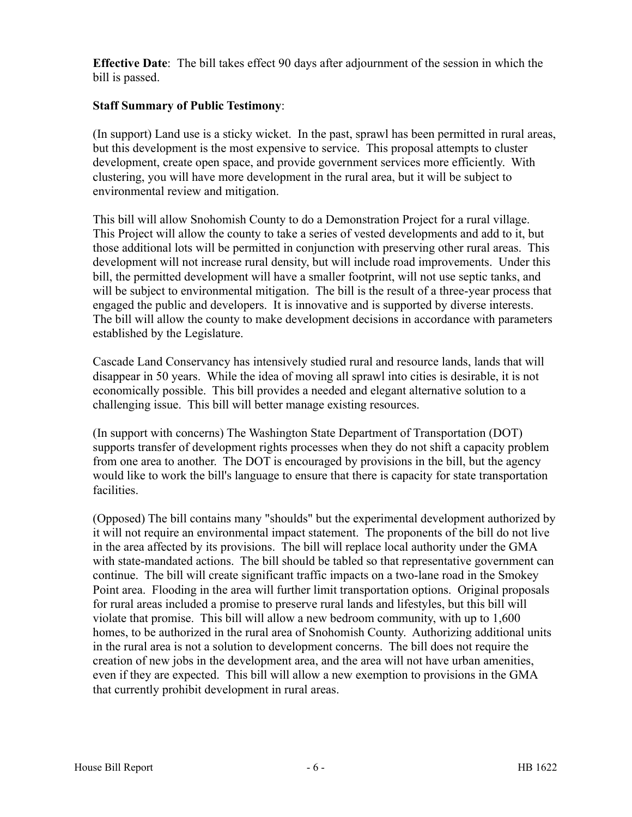**Effective Date**: The bill takes effect 90 days after adjournment of the session in which the bill is passed.

#### **Staff Summary of Public Testimony**:

(In support) Land use is a sticky wicket. In the past, sprawl has been permitted in rural areas, but this development is the most expensive to service. This proposal attempts to cluster development, create open space, and provide government services more efficiently. With clustering, you will have more development in the rural area, but it will be subject to environmental review and mitigation.

This bill will allow Snohomish County to do a Demonstration Project for a rural village. This Project will allow the county to take a series of vested developments and add to it, but those additional lots will be permitted in conjunction with preserving other rural areas. This development will not increase rural density, but will include road improvements. Under this bill, the permitted development will have a smaller footprint, will not use septic tanks, and will be subject to environmental mitigation. The bill is the result of a three-year process that engaged the public and developers. It is innovative and is supported by diverse interests. The bill will allow the county to make development decisions in accordance with parameters established by the Legislature.

Cascade Land Conservancy has intensively studied rural and resource lands, lands that will disappear in 50 years. While the idea of moving all sprawl into cities is desirable, it is not economically possible. This bill provides a needed and elegant alternative solution to a challenging issue. This bill will better manage existing resources.

(In support with concerns) The Washington State Department of Transportation (DOT) supports transfer of development rights processes when they do not shift a capacity problem from one area to another. The DOT is encouraged by provisions in the bill, but the agency would like to work the bill's language to ensure that there is capacity for state transportation facilities.

(Opposed) The bill contains many "shoulds" but the experimental development authorized by it will not require an environmental impact statement. The proponents of the bill do not live in the area affected by its provisions. The bill will replace local authority under the GMA with state-mandated actions. The bill should be tabled so that representative government can continue. The bill will create significant traffic impacts on a two-lane road in the Smokey Point area. Flooding in the area will further limit transportation options. Original proposals for rural areas included a promise to preserve rural lands and lifestyles, but this bill will violate that promise. This bill will allow a new bedroom community, with up to 1,600 homes, to be authorized in the rural area of Snohomish County. Authorizing additional units in the rural area is not a solution to development concerns. The bill does not require the creation of new jobs in the development area, and the area will not have urban amenities, even if they are expected. This bill will allow a new exemption to provisions in the GMA that currently prohibit development in rural areas.